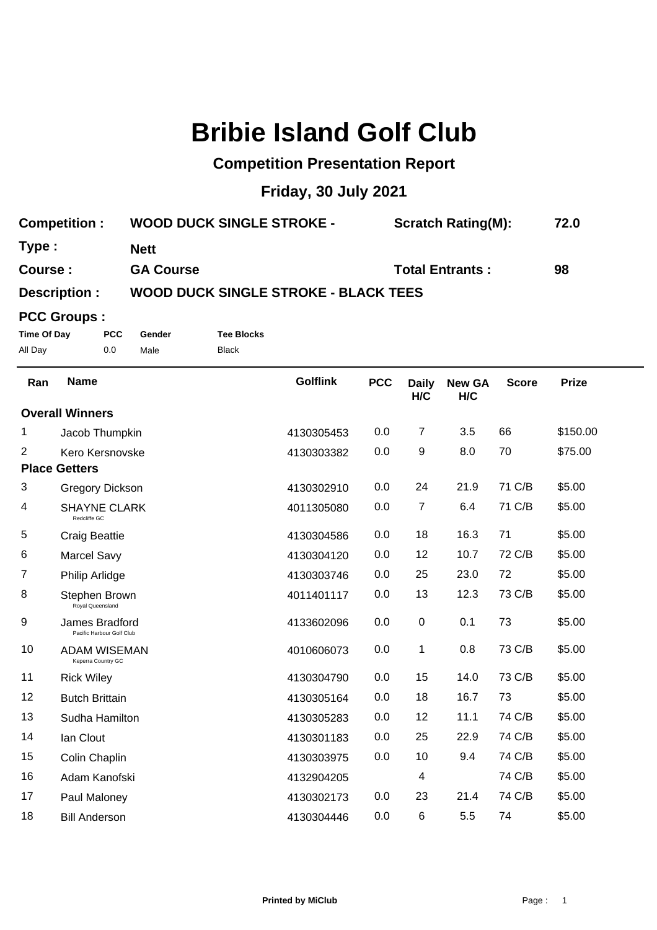# **Bribie Island Golf Club**

## **Competition Presentation Report**

## **Friday, 30 July 2021**

| <b>Competition:</b> | <b>WOOD DUCK SINGLE STROKE -</b> | <b>Scratch Rating(M):</b> | 72.0 |
|---------------------|----------------------------------|---------------------------|------|
| Type :              | Nett                             |                           |      |
| <b>Course :</b>     | <b>GA Course</b>                 | <b>Total Entrants:</b>    | 98   |
| $D^{\text{a}}$      | WOOD DUCK CINCLE STROKE          | DI ACK TEEC               |      |

### **Description : WOOD DUCK SINGLE STROKE - BLACK TEES**

### **PCC Groups :**

**Time Of Day PCC Gender Tee Blocks** All Day 0.0 Male Black

| Ran                    | <b>Name</b>                                 | <b>Golflink</b> | <b>PCC</b> | <b>Daily</b><br>H/C | <b>New GA</b><br>H/C | <b>Score</b> | <b>Prize</b> |
|------------------------|---------------------------------------------|-----------------|------------|---------------------|----------------------|--------------|--------------|
| <b>Overall Winners</b> |                                             |                 |            |                     |                      |              |              |
| 1                      | Jacob Thumpkin                              | 4130305453      | 0.0        | 7                   | 3.5                  | 66           | \$150.00     |
| 2                      | Kero Kersnovske                             | 4130303382      | 0.0        | 9                   | 8.0                  | 70           | \$75.00      |
| <b>Place Getters</b>   |                                             |                 |            |                     |                      |              |              |
| 3                      | <b>Gregory Dickson</b>                      | 4130302910      | 0.0        | 24                  | 21.9                 | 71 C/B       | \$5.00       |
| 4                      | <b>SHAYNE CLARK</b><br>Redcliffe GC         | 4011305080      | 0.0        | $\overline{7}$      | 6.4                  | 71 C/B       | \$5.00       |
| 5                      | <b>Craig Beattie</b>                        | 4130304586      | 0.0        | 18                  | 16.3                 | 71           | \$5.00       |
| 6                      | <b>Marcel Savy</b>                          | 4130304120      | 0.0        | 12                  | 10.7                 | 72 C/B       | \$5.00       |
| 7                      | Philip Arlidge                              | 4130303746      | 0.0        | 25                  | 23.0                 | 72           | \$5.00       |
| 8                      | Stephen Brown<br>Royal Queensland           | 4011401117      | 0.0        | 13                  | 12.3                 | 73 C/B       | \$5.00       |
| 9                      | James Bradford<br>Pacific Harbour Golf Club | 4133602096      | 0.0        | $\boldsymbol{0}$    | 0.1                  | 73           | \$5.00       |
| 10                     | ADAM WISEMAN<br>Keperra Country GC          | 4010606073      | 0.0        | 1                   | 0.8                  | 73 C/B       | \$5.00       |
| 11                     | <b>Rick Wiley</b>                           | 4130304790      | 0.0        | 15                  | 14.0                 | 73 C/B       | \$5.00       |
| 12                     | <b>Butch Brittain</b>                       | 4130305164      | 0.0        | 18                  | 16.7                 | 73           | \$5.00       |
| 13                     | Sudha Hamilton                              | 4130305283      | 0.0        | 12                  | 11.1                 | 74 C/B       | \$5.00       |
| 14                     | lan Clout                                   | 4130301183      | 0.0        | 25                  | 22.9                 | 74 C/B       | \$5.00       |
| 15                     | Colin Chaplin                               | 4130303975      | 0.0        | 10                  | 9.4                  | 74 C/B       | \$5.00       |
| 16                     | Adam Kanofski                               | 4132904205      |            | 4                   |                      | 74 C/B       | \$5.00       |
| 17                     | Paul Maloney                                | 4130302173      | 0.0        | 23                  | 21.4                 | 74 C/B       | \$5.00       |
| 18                     | <b>Bill Anderson</b>                        | 4130304446      | 0.0        | 6                   | 5.5                  | 74           | \$5.00       |